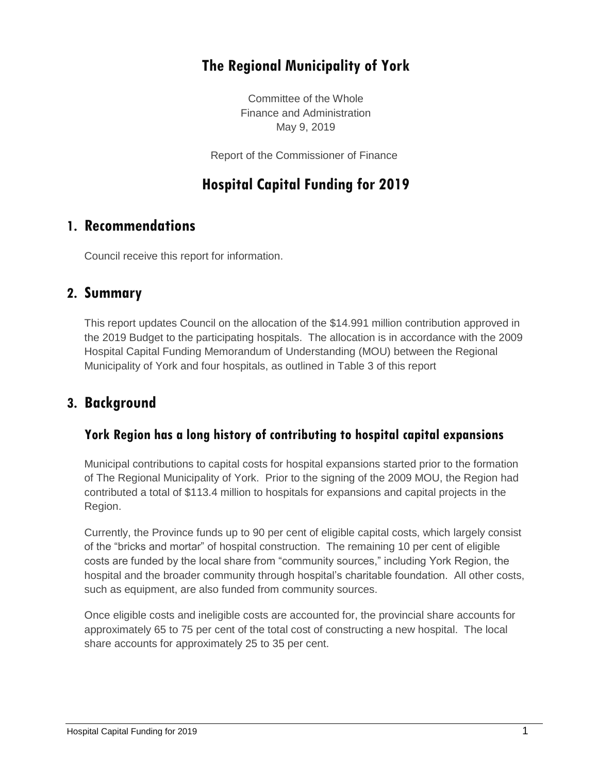## **The Regional Municipality of York**

Committee of the Whole Finance and Administration May 9, 2019

Report of the Commissioner of Finance

## **Hospital Capital Funding for 2019**

#### **1. Recommendations**

Council receive this report for information.

#### **2. Summary**

This report updates Council on the allocation of the \$14.991 million contribution approved in the 2019 Budget to the participating hospitals. The allocation is in accordance with the 2009 Hospital Capital Funding Memorandum of Understanding (MOU) between the Regional Municipality of York and four hospitals, as outlined in Table 3 of this report

### **3. Background**

#### **York Region has a long history of contributing to hospital capital expansions**

Municipal contributions to capital costs for hospital expansions started prior to the formation of The Regional Municipality of York. Prior to the signing of the 2009 MOU, the Region had contributed a total of \$113.4 million to hospitals for expansions and capital projects in the Region.

Currently, the Province funds up to 90 per cent of eligible capital costs, which largely consist of the "bricks and mortar" of hospital construction. The remaining 10 per cent of eligible costs are funded by the local share from "community sources," including York Region, the hospital and the broader community through hospital's charitable foundation. All other costs, such as equipment, are also funded from community sources.

Once eligible costs and ineligible costs are accounted for, the provincial share accounts for approximately 65 to 75 per cent of the total cost of constructing a new hospital. The local share accounts for approximately 25 to 35 per cent.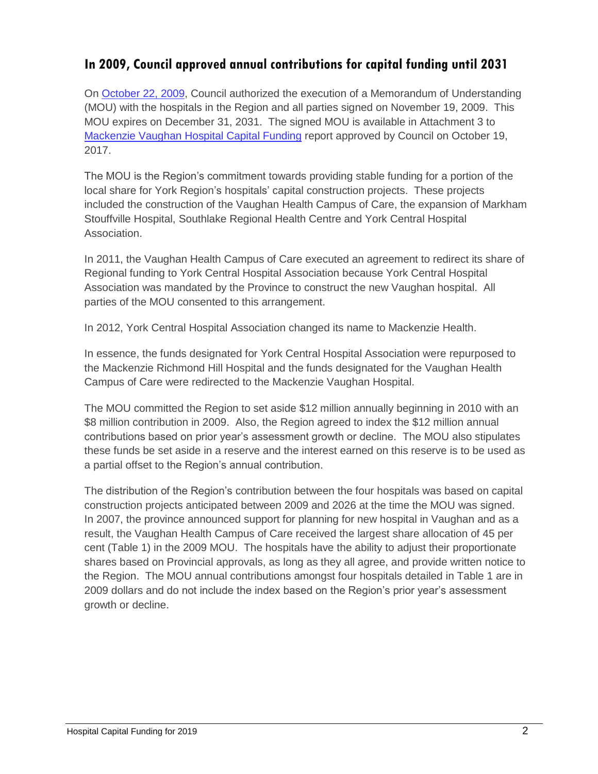#### **In 2009, Council approved annual contributions for capital funding until 2031**

On [October 22, 2009,](http://archives.york.ca/councilcommitteearchives/pdf/rpt%207%20cls%2013%20am.pdf) Council authorized the execution of a Memorandum of Understanding (MOU) with the hospitals in the Region and all parties signed on November 19, 2009. This MOU expires on December 31, 2031. The signed MOU is available in Attachment 3 to [Mackenzie Vaughan Hospital Capital Funding](https://www.york.ca/wps/wcm/connect/yorkpublic/0d9c9e2f-59aa-4928-9663-69eb7fa4fe67/oct+12+mackenzie+ex.pdf?MOD=AJPERES) report approved by Council on October 19, 2017.

The MOU is the Region's commitment towards providing stable funding for a portion of the local share for York Region's hospitals' capital construction projects. These projects included the construction of the Vaughan Health Campus of Care, the expansion of Markham Stouffville Hospital, Southlake Regional Health Centre and York Central Hospital Association.

In 2011, the Vaughan Health Campus of Care executed an agreement to redirect its share of Regional funding to York Central Hospital Association because York Central Hospital Association was mandated by the Province to construct the new Vaughan hospital. All parties of the MOU consented to this arrangement.

In 2012, York Central Hospital Association changed its name to Mackenzie Health.

In essence, the funds designated for York Central Hospital Association were repurposed to the Mackenzie Richmond Hill Hospital and the funds designated for the Vaughan Health Campus of Care were redirected to the Mackenzie Vaughan Hospital.

The MOU committed the Region to set aside \$12 million annually beginning in 2010 with an \$8 million contribution in 2009. Also, the Region agreed to index the \$12 million annual contributions based on prior year's assessment growth or decline. The MOU also stipulates these funds be set aside in a reserve and the interest earned on this reserve is to be used as a partial offset to the Region's annual contribution.

The distribution of the Region's contribution between the four hospitals was based on capital construction projects anticipated between 2009 and 2026 at the time the MOU was signed. In 2007, the province announced support for planning for new hospital in Vaughan and as a result, the Vaughan Health Campus of Care received the largest share allocation of 45 per cent (Table 1) in the 2009 MOU. The hospitals have the ability to adjust their proportionate shares based on Provincial approvals, as long as they all agree, and provide written notice to the Region. The MOU annual contributions amongst four hospitals detailed in Table 1 are in 2009 dollars and do not include the index based on the Region's prior year's assessment growth or decline.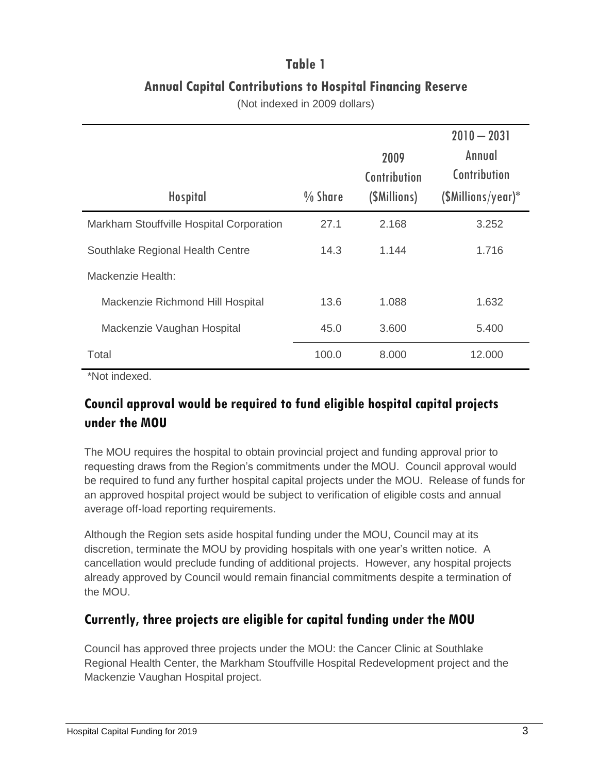# **Table 1 Annual Capital Contributions to Hospital Financing Reserve**

(Not indexed in 2009 dollars)

| <b>Hospital</b>                          | $\%$ Share | 2009<br>Contribution<br>(\$Millions) | $2010 - 2031$<br>Annual<br>Contribution<br>( <i>SMillions/year</i> )* |
|------------------------------------------|------------|--------------------------------------|-----------------------------------------------------------------------|
| Markham Stouffville Hospital Corporation | 27.1       | 2.168                                | 3.252                                                                 |
| Southlake Regional Health Centre         | 14.3       | 1.144                                | 1.716                                                                 |
| Mackenzie Health:                        |            |                                      |                                                                       |
| Mackenzie Richmond Hill Hospital         | 13.6       | 1.088                                | 1.632                                                                 |
| Mackenzie Vaughan Hospital               | 45.0       | 3.600                                | 5.400                                                                 |
| Total                                    | 100.0      | 8.000                                | 12.000                                                                |
| *Not indexed.                            |            |                                      |                                                                       |

## **Council approval would be required to fund eligible hospital capital projects under the MOU**

The MOU requires the hospital to obtain provincial project and funding approval prior to requesting draws from the Region's commitments under the MOU. Council approval would be required to fund any further hospital capital projects under the MOU. Release of funds for an approved hospital project would be subject to verification of eligible costs and annual average off-load reporting requirements.

Although the Region sets aside hospital funding under the MOU, Council may at its discretion, terminate the MOU by providing hospitals with one year's written notice. A cancellation would preclude funding of additional projects. However, any hospital projects already approved by Council would remain financial commitments despite a termination of the MOU.

### **Currently, three projects are eligible for capital funding under the MOU**

Council has approved three projects under the MOU: the Cancer Clinic at Southlake Regional Health Center, the Markham Stouffville Hospital Redevelopment project and the Mackenzie Vaughan Hospital project.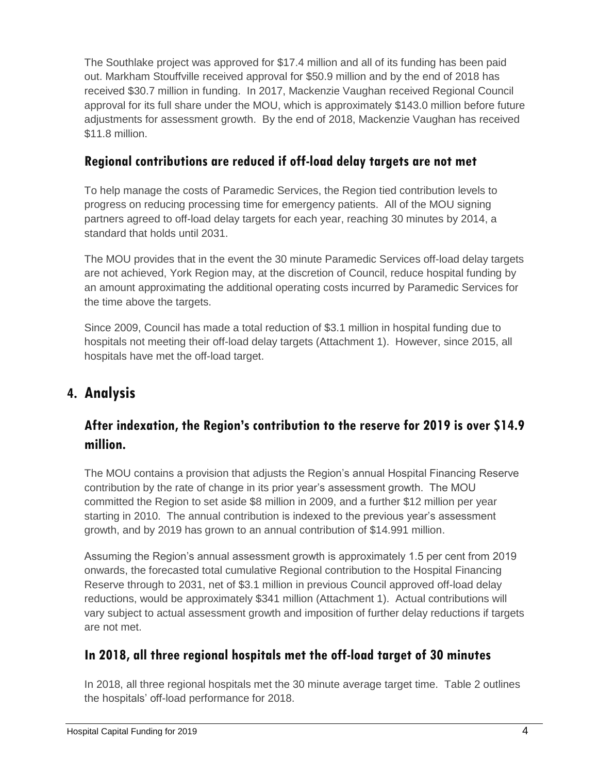The Southlake project was approved for \$17.4 million and all of its funding has been paid out. Markham Stouffville received approval for \$50.9 million and by the end of 2018 has received \$30.7 million in funding. In 2017, Mackenzie Vaughan received Regional Council approval for its full share under the MOU, which is approximately \$143.0 million before future adjustments for assessment growth. By the end of 2018, Mackenzie Vaughan has received \$11.8 million.

#### **Regional contributions are reduced if off-load delay targets are not met**

To help manage the costs of Paramedic Services, the Region tied contribution levels to progress on reducing processing time for emergency patients. All of the MOU signing partners agreed to off-load delay targets for each year, reaching 30 minutes by 2014, a standard that holds until 2031.

The MOU provides that in the event the 30 minute Paramedic Services off-load delay targets are not achieved, York Region may, at the discretion of Council, reduce hospital funding by an amount approximating the additional operating costs incurred by Paramedic Services for the time above the targets.

Since 2009, Council has made a total reduction of \$3.1 million in hospital funding due to hospitals not meeting their off-load delay targets (Attachment 1). However, since 2015, all hospitals have met the off-load target.

## **4. Analysis**

## **After indexation, the Region's contribution to the reserve for 2019 is over \$14.9 million.**

The MOU contains a provision that adjusts the Region's annual Hospital Financing Reserve contribution by the rate of change in its prior year's assessment growth. The MOU committed the Region to set aside \$8 million in 2009, and a further \$12 million per year starting in 2010. The annual contribution is indexed to the previous year's assessment growth, and by 2019 has grown to an annual contribution of \$14.991 million.

Assuming the Region's annual assessment growth is approximately 1.5 per cent from 2019 onwards, the forecasted total cumulative Regional contribution to the Hospital Financing Reserve through to 2031, net of \$3.1 million in previous Council approved off-load delay reductions, would be approximately \$341 million (Attachment 1). Actual contributions will vary subject to actual assessment growth and imposition of further delay reductions if targets are not met.

### **In 2018, all three regional hospitals met the off-load target of 30 minutes**

In 2018, all three regional hospitals met the 30 minute average target time. Table 2 outlines the hospitals' off-load performance for 2018.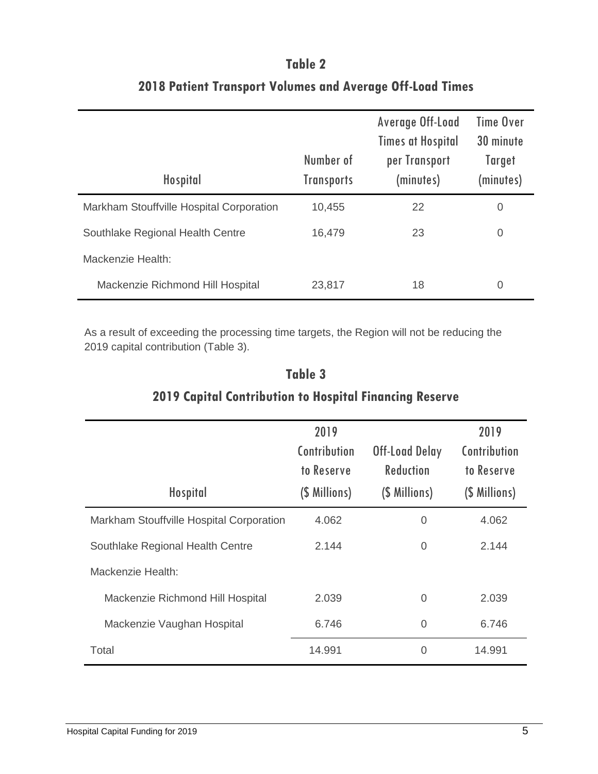| <b>Hospital</b>                          | Number of<br><b>Transports</b> | Average Off-Load<br><b>Times at Hospital</b><br>per Transport<br>(minutes) | <b>Time Over</b><br>30 minute<br>Target<br>(minutes) |
|------------------------------------------|--------------------------------|----------------------------------------------------------------------------|------------------------------------------------------|
| Markham Stouffville Hospital Corporation | 10,455                         | 22                                                                         | 0                                                    |
| Southlake Regional Health Centre         | 16,479                         | 23                                                                         | $\mathbf 0$                                          |
| Mackenzie Health:                        |                                |                                                                            |                                                      |
| Mackenzie Richmond Hill Hospital         | 23,817                         | 18                                                                         | 0                                                    |

## **Table 2 2018 Patient Transport Volumes and Average Off-Load Times**

As a result of exceeding the processing time targets, the Region will not be reducing the 2019 capital contribution (Table 3).

| <b>Hospital</b>                          | 2019<br>Contribution<br>to Reserve<br>(\$ Millions) | <b>Off-Load Delay</b><br><b>Reduction</b><br>(\$ Millions) | 2019<br>Contribution<br>to Reserve<br>(\$ Millions) |
|------------------------------------------|-----------------------------------------------------|------------------------------------------------------------|-----------------------------------------------------|
| Markham Stouffville Hospital Corporation | 4.062                                               | 0                                                          | 4.062                                               |
| Southlake Regional Health Centre         | 2.144                                               | 0                                                          | 2.144                                               |
| Mackenzie Health:                        |                                                     |                                                            |                                                     |
| Mackenzie Richmond Hill Hospital         | 2.039                                               | 0                                                          | 2.039                                               |
| Mackenzie Vaughan Hospital               | 6.746                                               | 0                                                          | 6.746                                               |
| Total                                    | 14.991                                              | 0                                                          | 14.991                                              |

## **Table 3 2019 Capital Contribution to Hospital Financing Reserve**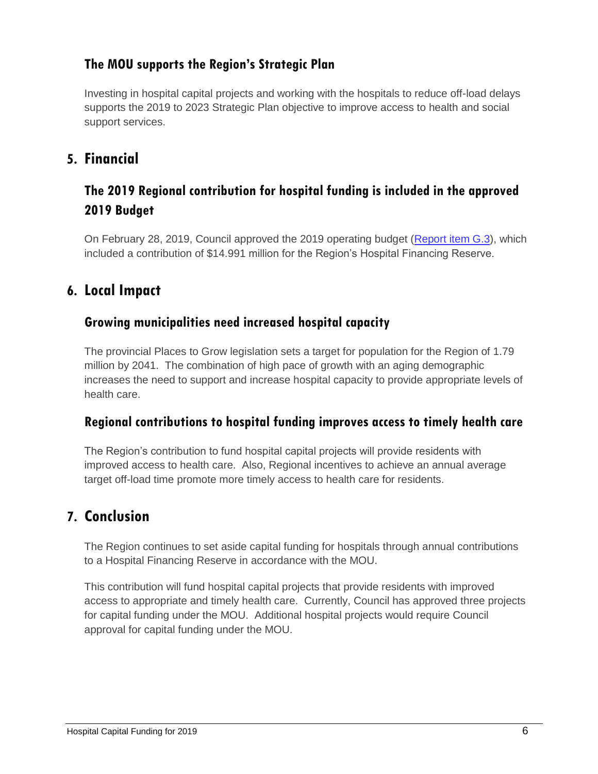#### **The MOU supports the Region's Strategic Plan**

Investing in hospital capital projects and working with the hospitals to reduce off-load delays supports the 2019 to 2023 Strategic Plan objective to improve access to health and social support services.

#### **5. Financial**

### **The 2019 Regional contribution for hospital funding is included in the approved 2019 Budget**

On February 28, 2019, Council approved the 2019 operating budget [\(Report item G.3\)](https://yorkpublishing.escribemeetings.com/Meeting.aspx?Id=719634b7-9023-4130-b640-f889cf43880b&Agenda=Merged&lang=English&Item=26), which included a contribution of \$14.991 million for the Region's Hospital Financing Reserve.

### **6. Local Impact**

#### **Growing municipalities need increased hospital capacity**

The provincial Places to Grow legislation sets a target for population for the Region of 1.79 million by 2041. The combination of high pace of growth with an aging demographic increases the need to support and increase hospital capacity to provide appropriate levels of health care.

#### **Regional contributions to hospital funding improves access to timely health care**

The Region's contribution to fund hospital capital projects will provide residents with improved access to health care. Also, Regional incentives to achieve an annual average target off-load time promote more timely access to health care for residents.

### **7. Conclusion**

The Region continues to set aside capital funding for hospitals through annual contributions to a Hospital Financing Reserve in accordance with the MOU.

This contribution will fund hospital capital projects that provide residents with improved access to appropriate and timely health care. Currently, Council has approved three projects for capital funding under the MOU. Additional hospital projects would require Council approval for capital funding under the MOU.